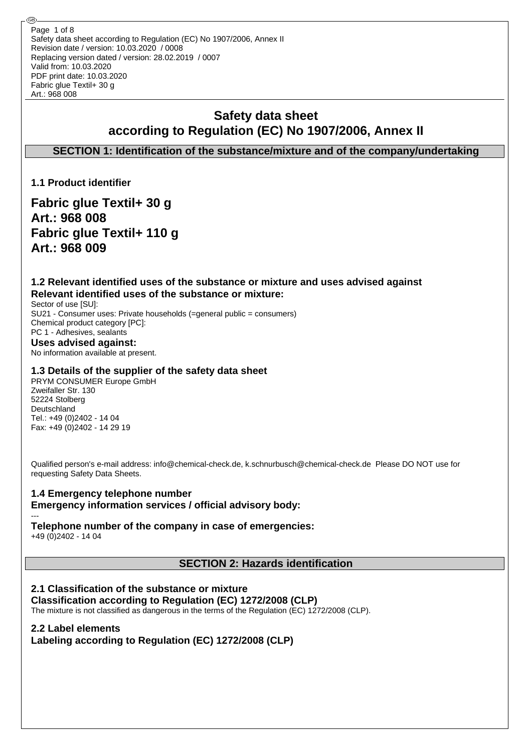Safety data sheet according to Regulation (EC) No 1907/2006, Annex II Revision date / version: 10.03.2020 / 0008 Replacing version dated / version: 28.02.2019 / 0007 Valid from: 10.03.2020 PDF print date: 10.03.2020 Fabric glue Textil+ 30 g Art.: 968 008 Page 1 of 8

# **Safety data sheet according to Regulation (EC) No 1907/2006, Annex II**

**SECTION 1: Identification of the substance/mixture and of the company/undertaking**

**1.1 Product identifier**

**Fabric glue Textil+ 30 g Art.: 968 008 Fabric glue Textil+ 110 g Art.: 968 009**

**1.2 Relevant identified uses of the substance or mixture and uses advised against Relevant identified uses of the substance or mixture:**

Sector of use [SU]: SU21 - Consumer uses: Private households (=general public = consumers) Chemical product category [PC]: PC 1 - Adhesives, sealants **Uses advised against:**

No information available at present.

#### **1.3 Details of the supplier of the safety data sheet**

PRYM CONSUMER Europe GmbH Zweifaller Str. 130 52224 Stolberg Deutschland Tel.: +49 (0)2402 - 14 04 Fax: +49 (0)2402 - 14 29 19

Qualified person's e-mail address: info@chemical-check.de, k.schnurbusch@chemical-check.de Please DO NOT use for requesting Safety Data Sheets.

#### **1.4 Emergency telephone number Emergency information services / official advisory body:**

## **Telephone number of the company in case of emergencies:**

+49 (0)2402 - 14 04

---

**SECTION 2: Hazards identification**

### **2.1 Classification of the substance or mixture**

#### **Classification according to Regulation (EC) 1272/2008 (CLP)**

The mixture is not classified as dangerous in the terms of the Regulation (EC) 1272/2008 (CLP).

### **2.2 Label elements**

**Labeling according to Regulation (EC) 1272/2008 (CLP)**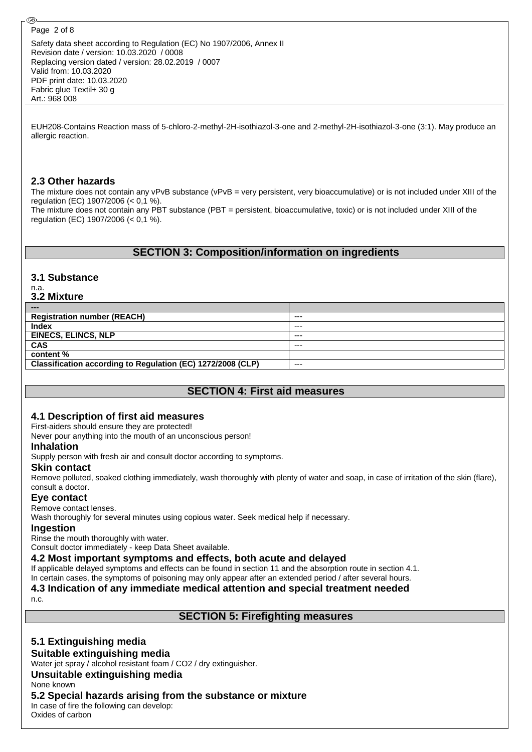@

Safety data sheet according to Regulation (EC) No 1907/2006, Annex II Revision date / version: 10.03.2020 / 0008 Replacing version dated / version: 28.02.2019 / 0007 Valid from: 10.03.2020 PDF print date: 10.03.2020 Fabric glue Textil+ 30 g Art.: 968 008

EUH208-Contains Reaction mass of 5-chloro-2-methyl-2H-isothiazol-3-one and 2-methyl-2H-isothiazol-3-one (3:1). May produce an allergic reaction.

#### **2.3 Other hazards**

The mixture does not contain any vPvB substance (vPvB = very persistent, very bioaccumulative) or is not included under XIII of the regulation (EC) 1907/2006 (< 0,1 %). The mixture does not contain any PBT substance (PBT = persistent, bioaccumulative, toxic) or is not included under XIII of the regulation (EC) 1907/2006 (< 0,1 %).

### **SECTION 3: Composition/information on ingredients**

### **3.1 Substance**

#### n.a. **3.2 Mixture**

| ---                                                         |         |
|-------------------------------------------------------------|---------|
| <b>Registration number (REACH)</b>                          | $--$    |
| <b>Index</b>                                                | $--$    |
| <b>EINECS, ELINCS, NLP</b>                                  | $--$    |
| <b>CAS</b>                                                  | $- - -$ |
| content %                                                   |         |
| Classification according to Regulation (EC) 1272/2008 (CLP) | $--$    |

## **SECTION 4: First aid measures**

#### **4.1 Description of first aid measures**

First-aiders should ensure they are protected!

Never pour anything into the mouth of an unconscious person!

#### **Inhalation**

Supply person with fresh air and consult doctor according to symptoms.

#### **Skin contact**

Remove polluted, soaked clothing immediately, wash thoroughly with plenty of water and soap, in case of irritation of the skin (flare), consult a doctor.

#### **Eye contact**

#### Remove contact lenses.

Wash thoroughly for several minutes using copious water. Seek medical help if necessary.

#### **Ingestion**

Rinse the mouth thoroughly with water.

Consult doctor immediately - keep Data Sheet available.

#### **4.2 Most important symptoms and effects, both acute and delayed**

If applicable delayed symptoms and effects can be found in section 11 and the absorption route in section 4.1.

In certain cases, the symptoms of poisoning may only appear after an extended period / after several hours. **4.3 Indication of any immediate medical attention and special treatment needed**

n.c.

### **SECTION 5: Firefighting measures**

## **5.1 Extinguishing media**

#### **Suitable extinguishing media**

Water jet spray / alcohol resistant foam / CO2 / dry extinguisher.

#### **Unsuitable extinguishing media**

None known

### **5.2 Special hazards arising from the substance or mixture**

In case of fire the following can develop: Oxides of carbon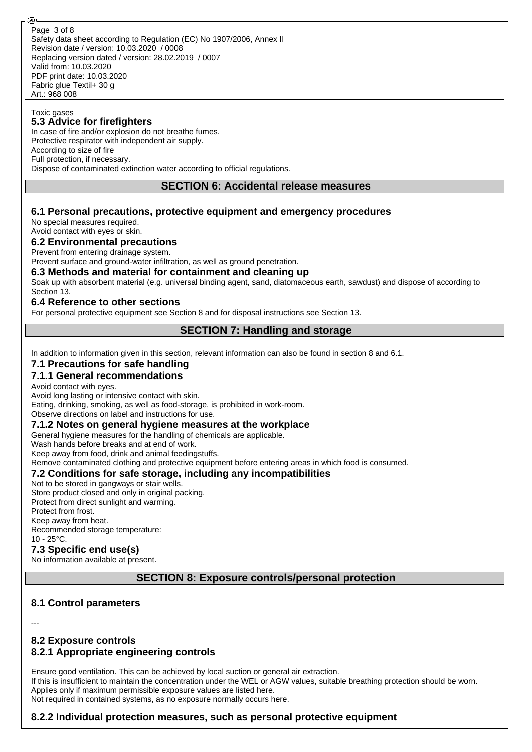#### Toxic gases

#### **5.3 Advice for firefighters**

In case of fire and/or explosion do not breathe fumes. Protective respirator with independent air supply. According to size of fire Full protection, if necessary. Dispose of contaminated extinction water according to official regulations.

#### **SECTION 6: Accidental release measures**

#### **6.1 Personal precautions, protective equipment and emergency procedures**

No special measures required. Avoid contact with eyes or skin.

#### **6.2 Environmental precautions**

Prevent from entering drainage system.

Prevent surface and ground-water infiltration, as well as ground penetration.

#### **6.3 Methods and material for containment and cleaning up**

Soak up with absorbent material (e.g. universal binding agent, sand, diatomaceous earth, sawdust) and dispose of according to Section 13.

#### **6.4 Reference to other sections**

For personal protective equipment see Section 8 and for disposal instructions see Section 13.

### **SECTION 7: Handling and storage**

In addition to information given in this section, relevant information can also be found in section 8 and 6.1.

#### **7.1 Precautions for safe handling**

#### **7.1.1 General recommendations**

Avoid contact with eyes.

Avoid long lasting or intensive contact with skin.

Eating, drinking, smoking, as well as food-storage, is prohibited in work-room.

Observe directions on label and instructions for use.

#### **7.1.2 Notes on general hygiene measures at the workplace**

General hygiene measures for the handling of chemicals are applicable.

Wash hands before breaks and at end of work.

Keep away from food, drink and animal feedingstuffs.

Remove contaminated clothing and protective equipment before entering areas in which food is consumed.

#### **7.2 Conditions for safe storage, including any incompatibilities**

Not to be stored in gangways or stair wells. Store product closed and only in original packing. Protect from direct sunlight and warming. Protect from frost. Keep away from heat. Recommended storage temperature: 10 - 25°C.

#### **7.3 Specific end use(s)**

No information available at present.

**SECTION 8: Exposure controls/personal protection**

#### **8.1 Control parameters**

---

### **8.2 Exposure controls 8.2.1 Appropriate engineering controls**

Ensure good ventilation. This can be achieved by local suction or general air extraction. If this is insufficient to maintain the concentration under the WEL or AGW values, suitable breathing protection should be worn. Applies only if maximum permissible exposure values are listed here. Not required in contained systems, as no exposure normally occurs here.

#### **8.2.2 Individual protection measures, such as personal protective equipment**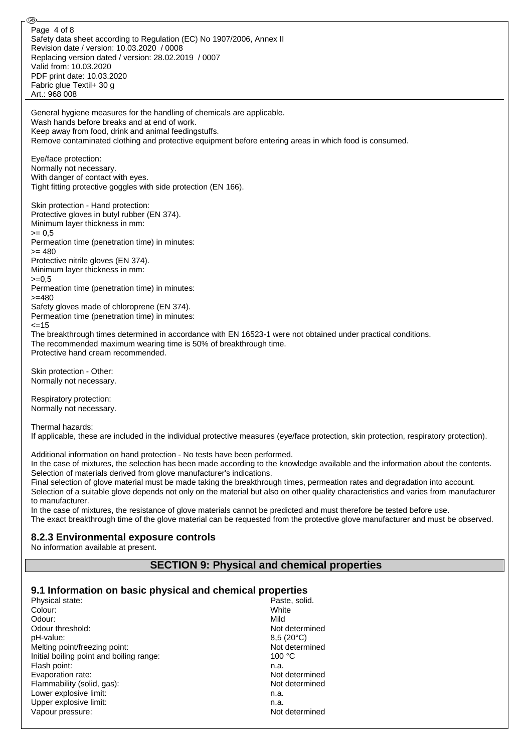Safety data sheet according to Regulation (EC) No 1907/2006, Annex II Revision date / version: 10.03.2020 / 0008 Replacing version dated / version: 28.02.2019 / 0007 Valid from: 10.03.2020 PDF print date: 10.03.2020 Fabric glue Textil+ 30 g Art.: 968 008 Page 4 of 8

General hygiene measures for the handling of chemicals are applicable. Wash hands before breaks and at end of work. Keep away from food, drink and animal feedingstuffs. Remove contaminated clothing and protective equipment before entering areas in which food is consumed.

Eye/face protection: Normally not necessary. With danger of contact with eyes. Tight fitting protective goggles with side protection (EN 166).

Skin protection - Hand protection: Protective gloves in butyl rubber (EN 374). Minimum layer thickness in mm:  $= 0.5$ Permeation time (penetration time) in minutes:  $>= 480$ Protective nitrile gloves (EN 374). Minimum layer thickness in mm:  $>=0.5$ Permeation time (penetration time) in minutes: >=480 Safety gloves made of chloroprene (EN 374). Permeation time (penetration time) in minutes:  $=15$ The breakthrough times determined in accordance with EN 16523-1 were not obtained under practical conditions.

The recommended maximum wearing time is 50% of breakthrough time. Protective hand cream recommended.

Skin protection - Other: Normally not necessary.

@

Respiratory protection: Normally not necessary.

Thermal hazards:

If applicable, these are included in the individual protective measures (eye/face protection, skin protection, respiratory protection).

Additional information on hand protection - No tests have been performed.

In the case of mixtures, the selection has been made according to the knowledge available and the information about the contents. Selection of materials derived from glove manufacturer's indications.

Final selection of glove material must be made taking the breakthrough times, permeation rates and degradation into account. Selection of a suitable glove depends not only on the material but also on other quality characteristics and varies from manufacturer to manufacturer.

In the case of mixtures, the resistance of glove materials cannot be predicted and must therefore be tested before use. The exact breakthrough time of the glove material can be requested from the protective glove manufacturer and must be observed.

### **8.2.3 Environmental exposure controls**

No information available at present.

### **SECTION 9: Physical and chemical properties**

## **9.1 Information on basic physical and chemical properties**

| Physical state:                          | Paste, solid.      |
|------------------------------------------|--------------------|
| Colour:                                  | White              |
| Odour:                                   | Mild               |
| Odour threshold:                         | Not determined     |
| pH-value:                                | $8,5(20^{\circ}C)$ |
| Melting point/freezing point:            | Not determined     |
| Initial boiling point and boiling range: | 100 °C             |
| Flash point:                             | n.a.               |
| Evaporation rate:                        | Not determined     |
| Flammability (solid, gas):               | Not determined     |
| Lower explosive limit:                   | n.a.               |
| Upper explosive limit:                   | n.a.               |
| Vapour pressure:                         | Not determined     |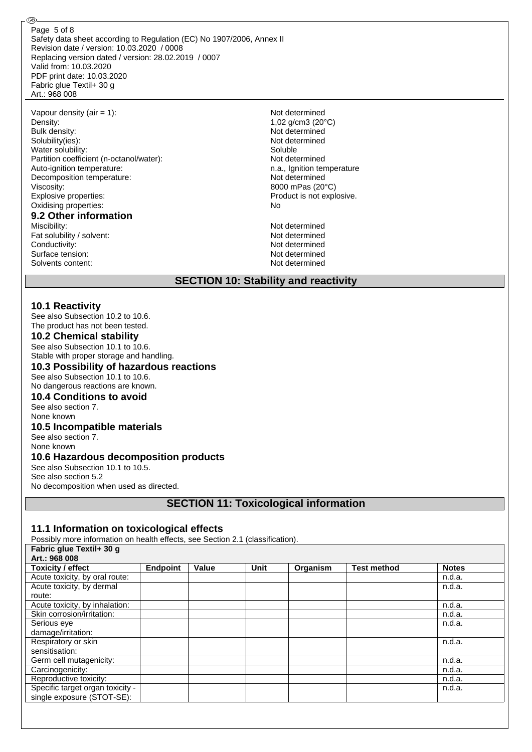Safety data sheet according to Regulation (EC) No 1907/2006, Annex II Revision date / version: 10.03.2020 / 0008 Replacing version dated / version: 28.02.2019 / 0007 Valid from: 10.03.2020 PDF print date: 10.03.2020 Fabric glue Textil+ 30 g Art.: 968 008 Page 5 of 8

Vapour density (air = 1): Not determined Density: 1,02 g/cm3 (20°C)<br>Bulk density: 1,02 g/cm3 (20°C) Solubility(ies): Not determined Water solubility: Soluble Partition coefficient (n-octanol/water): Not determined Auto-ignition temperature: n.a., Ignition temperature Decomposition temperature: Not determined Viscosity: 8000 mPas (20°C)<br>Explosive properties: 8000 mPas (20°C) Oxidising properties: No **9.2 Other information** Miscibility: Not determined

Fat solubility / solvent: Not determined Conductivity: Not determined Surface tension: Not determined Solvents content: Not determined

@

Not determined Product is not explosive.

#### **SECTION 10: Stability and reactivity**

#### **10.1 Reactivity**

See also Subsection 10.2 to 10.6. The product has not been tested.

#### **10.2 Chemical stability**

See also Subsection 10.1 to 10.6. Stable with proper storage and handling.

#### **10.3 Possibility of hazardous reactions**

See also Subsection 10.1 to 10.6. No dangerous reactions are known.

#### **10.4 Conditions to avoid**

See also section 7. None known

## **10.5 Incompatible materials**

See also section 7. None known

#### **10.6 Hazardous decomposition products**

See also Subsection 10.1 to 10.5. See also section 5.2 No decomposition when used as directed.

### **SECTION 11: Toxicological information**

#### **11.1 Information on toxicological effects**

Possibly more information on health effects, see Section 2.1 (classification). **Fabric glue Textil+ 30 g** 

| $1.45115$ gives $1.571111$ as $9.4$ |                 |       |             |          |                    |              |
|-------------------------------------|-----------------|-------|-------------|----------|--------------------|--------------|
| Art.: 968 008                       |                 |       |             |          |                    |              |
| <b>Toxicity / effect</b>            | <b>Endpoint</b> | Value | <b>Unit</b> | Organism | <b>Test method</b> | <b>Notes</b> |
| Acute toxicity, by oral route:      |                 |       |             |          |                    | n.d.a.       |
| Acute toxicity, by dermal           |                 |       |             |          |                    | n.d.a.       |
| route:                              |                 |       |             |          |                    |              |
| Acute toxicity, by inhalation:      |                 |       |             |          |                    | n.d.a.       |
| Skin corrosion/irritation:          |                 |       |             |          |                    | n.d.a.       |
| Serious eye                         |                 |       |             |          |                    | n.d.a.       |
| damage/irritation:                  |                 |       |             |          |                    |              |
| Respiratory or skin                 |                 |       |             |          |                    | n.d.a.       |
| sensitisation:                      |                 |       |             |          |                    |              |
| Germ cell mutagenicity:             |                 |       |             |          |                    | n.d.a.       |
| Carcinogenicity:                    |                 |       |             |          |                    | n.d.a.       |
| Reproductive toxicity:              |                 |       |             |          |                    | n.d.a.       |
| Specific target organ toxicity -    |                 |       |             |          |                    | n.d.a.       |
| single exposure (STOT-SE):          |                 |       |             |          |                    |              |
|                                     |                 |       |             |          |                    |              |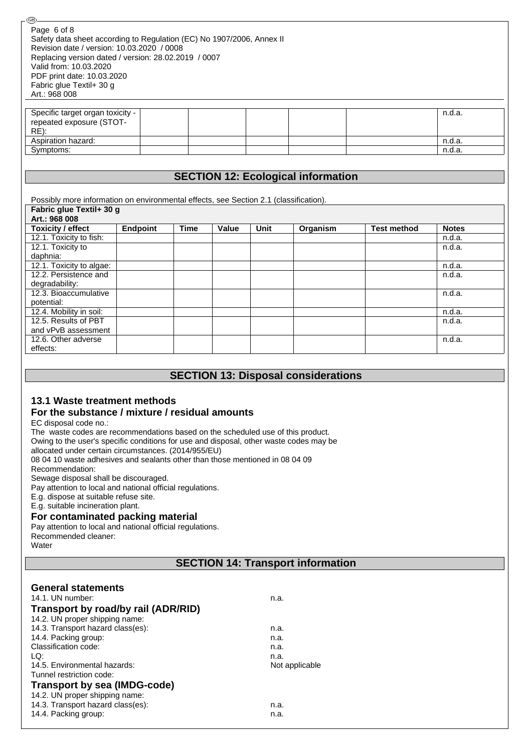| Page 6 of 8                                                           |  |  |  |        |
|-----------------------------------------------------------------------|--|--|--|--------|
| Safety data sheet according to Regulation (EC) No 1907/2006, Annex II |  |  |  |        |
| Revision date / version: 10.03.2020 / 0008                            |  |  |  |        |
| Replacing version dated / version: 28.02.2019 / 0007                  |  |  |  |        |
| Valid from: 10.03.2020                                                |  |  |  |        |
| PDF print date: 10.03.2020                                            |  |  |  |        |
| Fabric glue Textil+ 30 g                                              |  |  |  |        |
| Art.: 968 008                                                         |  |  |  |        |
|                                                                       |  |  |  |        |
| Specific target organ toxicity -                                      |  |  |  | n.d.a. |
| repeated exposure (STOT-                                              |  |  |  |        |
| RE):                                                                  |  |  |  |        |
| Aspiration hazard:                                                    |  |  |  | n.d.a. |
| Symptoms:                                                             |  |  |  | n.d.a. |
|                                                                       |  |  |  |        |
|                                                                       |  |  |  |        |
| <b>SECTION 12: Ecological information</b>                             |  |  |  |        |

| Possibly more information on environmental effects, see Section 2.1 (classification). |          |             |       |      |          |                    |              |
|---------------------------------------------------------------------------------------|----------|-------------|-------|------|----------|--------------------|--------------|
| Fabric glue Textil+ 30 g                                                              |          |             |       |      |          |                    |              |
| Art.: 968 008                                                                         |          |             |       |      |          |                    |              |
| <b>Toxicity / effect</b>                                                              | Endpoint | <b>Time</b> | Value | Unit | Organism | <b>Test method</b> | <b>Notes</b> |
| 12.1. Toxicity to fish:                                                               |          |             |       |      |          |                    | n.d.a.       |
| 12.1. Toxicity to                                                                     |          |             |       |      |          |                    | n.d.a.       |
| daphnia:                                                                              |          |             |       |      |          |                    |              |
| 12.1. Toxicity to algae:                                                              |          |             |       |      |          |                    | n.d.a.       |
| 12.2. Persistence and                                                                 |          |             |       |      |          |                    | n.d.a.       |
| degradability:                                                                        |          |             |       |      |          |                    |              |
| 12.3. Bioaccumulative                                                                 |          |             |       |      |          |                    | n.d.a.       |
| potential:                                                                            |          |             |       |      |          |                    |              |
| 12.4. Mobility in soil:                                                               |          |             |       |      |          |                    | n.d.a.       |
| 12.5. Results of PBT                                                                  |          |             |       |      |          |                    | n.d.a.       |
| and vPvB assessment                                                                   |          |             |       |      |          |                    |              |
| 12.6. Other adverse                                                                   |          |             |       |      |          |                    | n.d.a.       |
| effects:                                                                              |          |             |       |      |          |                    |              |

#### **SECTION 13: Disposal considerations**

# **13.1 Waste treatment methods**

## **For the substance / mixture / residual amounts**

EC disposal code no.:

ര<br>

The waste codes are recommendations based on the scheduled use of this product.

Owing to the user's specific conditions for use and disposal, other waste codes may be

allocated under certain circumstances. (2014/955/EU)

08 04 10 waste adhesives and sealants other than those mentioned in 08 04 09

Recommendation:

Sewage disposal shall be discouraged.

Pay attention to local and national official regulations.

E.g. dispose at suitable refuse site.

E.g. suitable incineration plant.

#### **For contaminated packing material**

Pay attention to local and national official regulations.

Recommended cleaner: **Water** 

## **SECTION 14: Transport information**

## **General statements**

| 14.1. UN number:                    | n.a.           |
|-------------------------------------|----------------|
| Transport by road/by rail (ADR/RID) |                |
| 14.2. UN proper shipping name:      |                |
| 14.3. Transport hazard class(es):   | n.a.           |
| 14.4. Packing group:                | n.a.           |
| Classification code:                | n.a.           |
| LQ:                                 | n.a.           |
| 14.5. Environmental hazards:        | Not applicable |
| Tunnel restriction code:            |                |
| <b>Transport by sea (IMDG-code)</b> |                |
| 14.2. UN proper shipping name:      |                |
| 14.3. Transport hazard class(es):   | n.a.           |
| 14.4. Packing group:                | n.a.           |
|                                     |                |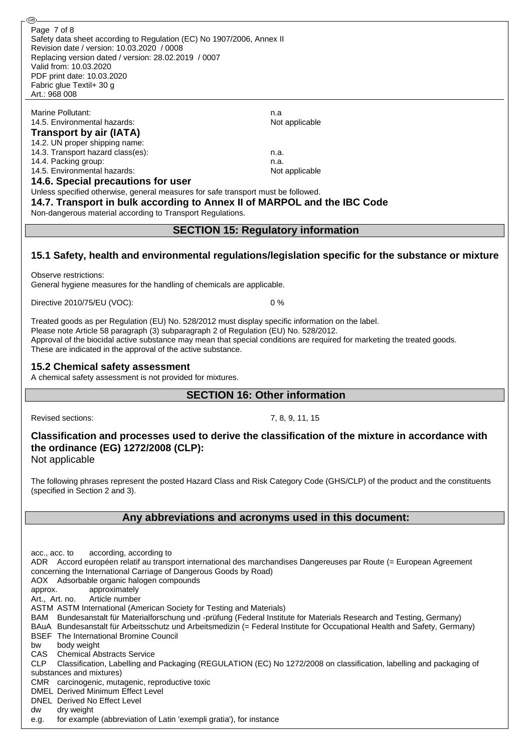Marine Pollutant: n.a.

#### 14.5. Environmental hazards: Not applicable **Transport by air (IATA)**

#### 14.2. UN proper shipping name: 14.3. Transport hazard class(es): n.a. 14.4. Packing group: n.a.

14.5. Environmental hazards: Not applicable

**14.6. Special precautions for user**

Unless specified otherwise, general measures for safe transport must be followed.

**14.7. Transport in bulk according to Annex II of MARPOL and the IBC Code** Non-dangerous material according to Transport Regulations.

## **SECTION 15: Regulatory information**

## **15.1 Safety, health and environmental regulations/legislation specific for the substance or mixture**

Observe restrictions:

General hygiene measures for the handling of chemicals are applicable.

Directive 2010/75/EU (VOC): 0 %

Treated goods as per Regulation (EU) No. 528/2012 must display specific information on the label. Please note Article 58 paragraph (3) subparagraph 2 of Regulation (EU) No. 528/2012. Approval of the biocidal active substance may mean that special conditions are required for marketing the treated goods. These are indicated in the approval of the active substance.

## **15.2 Chemical safety assessment**

A chemical safety assessment is not provided for mixtures.

## **SECTION 16: Other information**

Revised sections: 7, 8, 9, 11, 15

# **Classification and processes used to derive the classification of the mixture in accordance with the ordinance (EG) 1272/2008 (CLP):**

Not applicable

The following phrases represent the posted Hazard Class and Risk Category Code (GHS/CLP) of the product and the constituents (specified in Section 2 and 3).

### **Any abbreviations and acronyms used in this document:**

acc., acc. to according, according to ADR Accord européen relatif au transport international des marchandises Dangereuses par Route (= European Agreement concerning the International Carriage of Dangerous Goods by Road) AOX Adsorbable organic halogen compounds approx. approximately Art., Art. no. Article number ASTM ASTM International (American Society for Testing and Materials) BAM Bundesanstalt für Materialforschung und -prüfung (Federal Institute for Materials Research and Testing, Germany) BAuA Bundesanstalt für Arbeitsschutz und Arbeitsmedizin (= Federal Institute for Occupational Health and Safety, Germany) BSEF The International Bromine Council bw body weight CAS Chemical Abstracts Service CLP Classification, Labelling and Packaging (REGULATION (EC) No 1272/2008 on classification, labelling and packaging of substances and mixtures) CMR carcinogenic, mutagenic, reproductive toxic DMEL Derived Minimum Effect Level DNEL Derived No Effect Level dw dry weight e.g. for example (abbreviation of Latin 'exempli gratia'), for instance